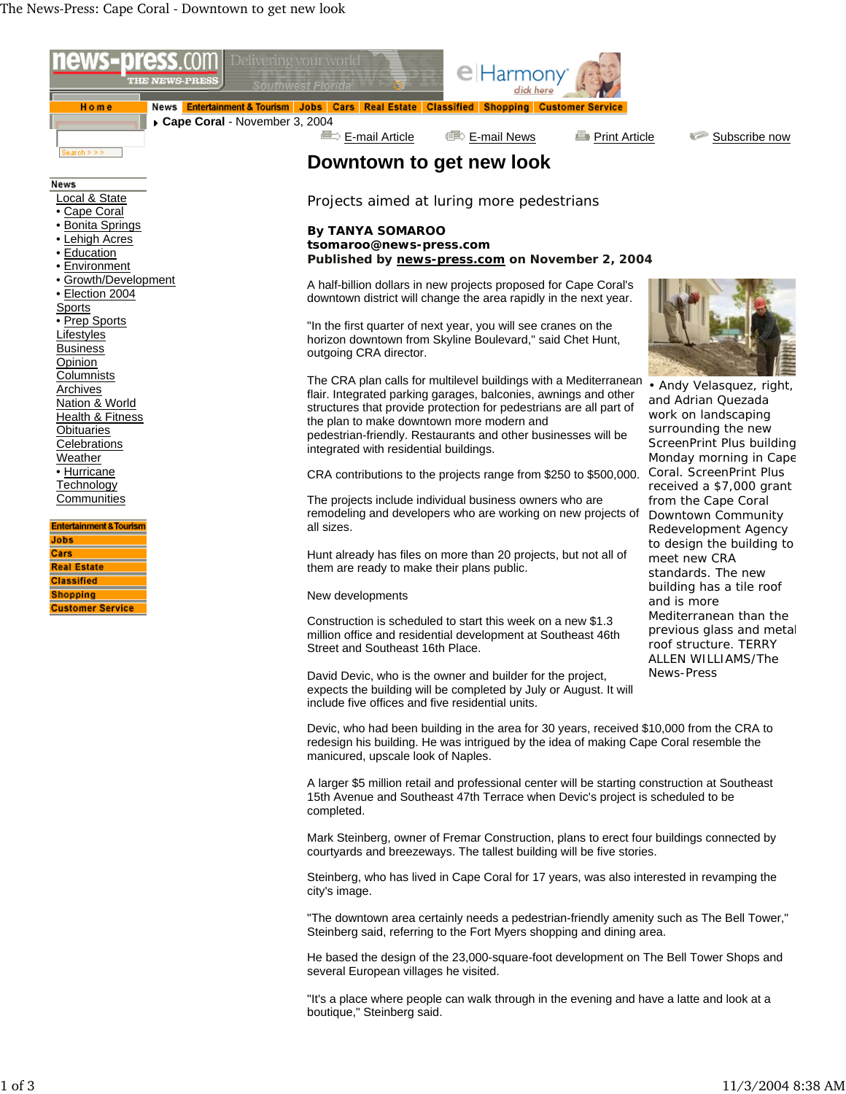

"It's a place where people can walk through in the evening and have a latte and look at a boutique," Steinberg said.